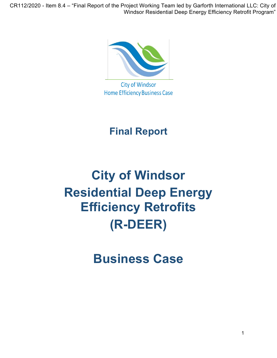CR112/2020 - Item 8.4 – "Final Report of the Project Working Team led by Garforth International LLC: City of Windsor Residential Deep Energy Efficiency Retrofit Program"



**City of Windsor Home Efficiency Business Case** 

# **Final Report**

# **City of Windsor Residential Deep Energy Efficiency Retrofits (R-DEER)**

**Business Case**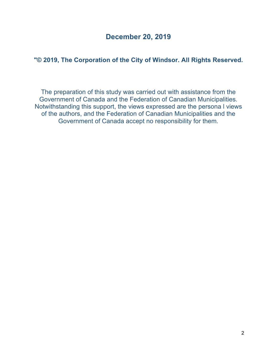# **December 20, 2019**

### **"© 2019, The Corporation of the City of Windsor. All Rights Reserved.**

The preparation of this study was carried out with assistance from the Government of Canada and the Federation of Canadian Municipalities. Notwithstanding this support, the views expressed are the persona l views of the authors, and the Federation of Canadian Municipalities and the Government of Canada accept no responsibility for them.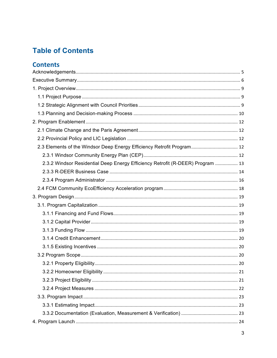# **Table of Contents**

# **Contents**

| 2.3 Elements of the Windsor Deep Energy Efficiency Retrofit Program 12         |  |
|--------------------------------------------------------------------------------|--|
|                                                                                |  |
| 2.3.2 Windsor Residential Deep Energy Efficiency Retrofit (R-DEER) Program  13 |  |
|                                                                                |  |
|                                                                                |  |
|                                                                                |  |
|                                                                                |  |
|                                                                                |  |
|                                                                                |  |
|                                                                                |  |
|                                                                                |  |
|                                                                                |  |
|                                                                                |  |
|                                                                                |  |
|                                                                                |  |
|                                                                                |  |
|                                                                                |  |
|                                                                                |  |
|                                                                                |  |
|                                                                                |  |
|                                                                                |  |
|                                                                                |  |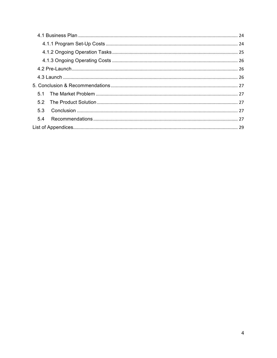| 5.3 |  |
|-----|--|
| 5.4 |  |
|     |  |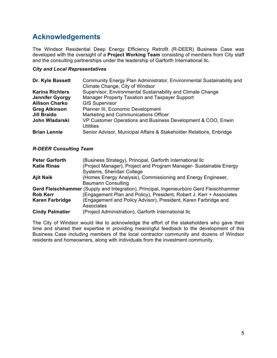# **Acknowledgements**

The Windsor Residential Deep Energy Efficiency Retrofit (R-DEER) Business Case was developed with the oversight of a **Project Working Team** consisting of members from City staff and the consulting partnerships under the leadership of Garforth International llc.

#### *City and Local Representatives*

| Dr. Kyle Bassett       | Community Energy Plan Administrator, Environmental Sustainability and            |
|------------------------|----------------------------------------------------------------------------------|
|                        | Climate Change, City of Windsor                                                  |
| <b>Karina Richters</b> | Supervisor, Environmental Sustainability and Climate Change                      |
| <b>Jennifer Gyorgy</b> | Manager Property Taxation and Taxpayer Support                                   |
| <b>Allison Charko</b>  | <b>GIS Supervisor</b>                                                            |
| <b>Greg Atkinson</b>   | Planner III, Economic Development                                                |
| <b>Jill Braido</b>     | Marketing and Communications Officer                                             |
| John Wladarski         | VP Customer Operations and Business Development & COO, Enwin<br><b>Utilities</b> |
| <b>Brian Lennie</b>    | Senior Advisor, Municipal Affairs & Stakeholder Relations, Enbridge              |

#### *R-DEER Consulting Team*

| <b>Peter Garforth</b>  | (Business Strategy), Principal, Garforth International llc                               |
|------------------------|------------------------------------------------------------------------------------------|
| <b>Katie Rinas</b>     | (Project Manager), Project and Program Manager- Sustainable Energy                       |
|                        | Systems, Sheridan College                                                                |
| <b>Ajit Naik</b>       | (Homes Energy Analysis), Commissioning and Energy Engineeer,                             |
|                        | <b>Baumann Consulting</b>                                                                |
|                        | Gerd Fleischhammer (Supply and Integration), Principal, Ingenieurbüro Gerd Fleischhammer |
| <b>Rob Kerr</b>        | (Engagement Plan and Policy), President, Robert J. Kerr + Associates                     |
| <b>Karen Farbridge</b> | (Engagement and Policy Advisor), President, Karen Farbridge and                          |
|                        | Associates                                                                               |
| <b>Cindy Palmatier</b> | (Project Administration), Garforth International llc                                     |

The City of Windsor would like to acknowledge the effort of the stakeholders who gave their time and shared their expertise in providing meaningful feedback to the development of this Business Case including members of the local contractor community and dozens of Windsor residents and homeowners, along with individuals from the investment community.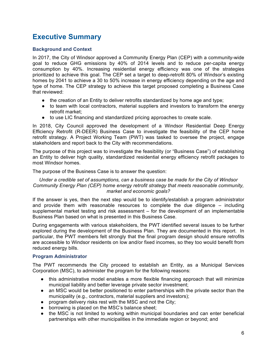# **Executive Summary**

#### **Background and Context**

In 2017, the City of Windsor approved a Community Energy Plan (CEP) with a community-wide goal to reduce GHG emissions by 40% of 2014 levels and to reduce per-capita energy consumption by 40%. Increasing residential energy efficiency was one of the strategies prioritized to achieve this goal. The CEP set a target to deep-retrofit 80% of Windsor's existing homes by 2041 to achieve a 30 to 50% increase in energy efficiency depending on the age and type of home. The CEP strategy to achieve this target proposed completing a Business Case that reviewed:

- the creation of an Entity to deliver retrofits standardized by home age and type;
- to team with local contractors, material suppliers and investors to transform the energy retrofit market;
- to use LIC financing and standardized pricing approaches to create scale.

In 2018, City Council approved the development of a Windsor Residential Deep Energy Efficiency Retrofit (R-DEER) Business Case to investigate the feasibility of the CEP home retrofit strategy. A Project Working Team (PWT) was tasked to oversee the project, engage stakeholders and report back to the City with recommendations.

The purpose of this project was to investigate the feasibility (or "Business Case") of establishing an Entity to deliver high quality, standardized residential energy efficiency retrofit packages to most Windsor homes.

The purpose of the Business Case is to answer the question:

*Under a credible set of assumptions, can a business case be made for the City of Windsor Community Energy Plan (CEP) home energy retrofit strategy that meets reasonable community, market and economic goals?*

If the answer is yes, then the next step would be to identify/establish a program administrator and provide them with reasonable resources to complete the due diligence – including supplemental market testing and risk assessment – for the development of an implementable Business Plan based on what is presented in this Business Case.

During engagements with various stakeholders, the PWT identified several issues to be further explored during the development of the Business Plan. They are documented in this report. In particular, the PWT members felt strongly that the final program design should ensure retrofits are accessible to Windsor residents on low and/or fixed incomes, so they too would benefit from reduced energy bills.

#### **Program Administrator**

The PWT recommends the City proceed to establish an Entity, as a Municipal Services Corporation (MSC), to administer the program for the following reasons:

- this administrative model enables a more flexible financing approach that will minimize municipal liability and better leverage private sector investment;
- an MSC would be better positioned to enter partnerships with the private sector than the municipality (e.g., contractors, material suppliers and investors);
- program delivery risks rest with the MSC and not the City;
- borrowing is placed on the MSC's balance sheet;
- the MSC is not limited to working within municipal boundaries and can enter beneficial partnerships with other municipalities in the immediate region or beyond; and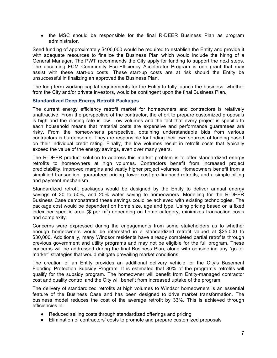• the MSC should be responsible for the final R-DEER Business Plan as program administrator.

Seed funding of approximately \$400,000 would be required to establish the Entity and provide it with adequate resources to finalize the Business Plan which would include the hiring of a General Manager. The PWT recommends the City apply for funding to support the next steps. The upcoming FCM Community Eco-Efficiency Accelerator Program is one grant that may assist with these start-up costs. These start-up costs are at risk should the Entity be unsuccessful in finalizing an approved the Business Plan.

The long-term working capital requirements for the Entity to fully launch the business, whether from the City and/or private investors, would be contingent upon the final Business Plan.

#### **Standardized Deep Energy Retrofit Packages**

The current energy efficiency retrofit market for homeowners and contractors is relatively unattractive. From the perspective of the contractor, the effort to prepare customized proposals is high and the closing rate is low. Low volumes and the fact that every project is specific to each household means that material costs are expensive and performance guarantees are risky. From the homeowner's perspective, obtaining understandable bids from various contractors is burdensome. They are responsible for finding their own sources of funding based on their individual credit rating. Finally, the low volumes result in retrofit costs that typically exceed the value of the energy savings, even over many years.

The R-DEER product solution to address this market problem is to offer standardized energy retrofits to homeowners at high volumes. Contractors benefit from increased project predictability, improved margins and vastly higher project volumes. Homeowners benefit from a simplified transaction, guaranteed pricing, lower cost pre-financed retrofits, and a simple billing and payment mechanism.

Standardized retrofit packages would be designed by the Entity to deliver annual energy savings of 30 to 50%, and 20% water saving to homeowners. Modelling for the R-DEER Business Case demonstrated these savings could be achieved with existing technologies. The package cost would be dependent on home size, age and type. Using pricing based on a fixed index per specific area ( $\frac{1}{2}$  per m<sup>2</sup>) depending on home category, minimizes transaction costs and complexity.

Concerns were expressed during the engagements from some stakeholders as to whether enough homeowners would be interested in a standardized retrofit valued at \$25,000 to \$30,000. Additionally, many Windsor residents have already completed partial retrofits through previous government and utility programs and may not be eligible for the full program. These concerns will be addressed during the final Business Plan, along with considering any "go-tomarket" strategies that would mitigate prevailing market conditions.

The creation of an Entity provides an additional delivery vehicle for the City's Basement Flooding Protection Subsidy Program. It is estimated that 80% of the program's retrofits will qualify for the subsidy program. The homeowner will benefit from Entity-managed contractor cost and quality control and the City will benefit from increased uptake of the program.

The delivery of standardized retrofits at high volumes to Windsor homeowners is an essential feature of the Business Case and has been designed to drive market transformation. The business model reduces the cost of the average retrofit by 33%. This is achieved through efficiencies in:

- Reduced selling costs through standardized offerings and pricing
- Elimination of contractors' costs to promote and prepare customized proposals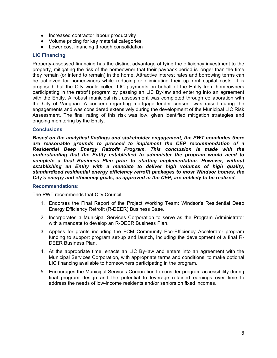- Increased contractor labour productivity
- Volume pricing for key material categories
- Lower cost financing through consolidation

#### **LIC Financing**

Property-assessed financing has the distinct advantage of tying the efficiency investment to the property, mitigating the risk of the homeowner that their payback period is longer than the time they remain (or intend to remain) in the home. Attractive interest rates and borrowing terms can be achieved for homeowners while reducing or eliminating their up-front capital costs. It is proposed that the City would collect LIC payments on behalf of the Entity from homeowners participating in the retrofit program by passing an LIC By-law and entering into an agreement with the Entity. A robust municipal risk assessment was completed through collaboration with the City of Vaughan. A concern regarding mortgage lender consent was raised during the engagements and was considered extensively during the development of the Municipal LIC Risk Assessment. The final rating of this risk was low, given identified mitigation strategies and ongoing monitoring by the Entity.

#### **Conclusions**

*Based on the analytical findings and stakeholder engagement, the PWT concludes there are reasonable grounds to proceed to implement the CEP recommendation of a Residential Deep Energy Retrofit Program. This conclusion is made with the understanding that the Entity established to administer the program would need to complete a final Business Plan prior to starting implementation. However, without establishing an Entity with a mandate to deliver high volumes of high quality, standardized residential energy efficiency retrofit packages to most Windsor homes, the City's energy and efficiency goals, as approved in the CEP, are unlikely to be realized.*

#### **Recommendations:**

The PWT recommends that City Council:

- 1. Endorses the Final Report of the Project Working Team: Windsor's Residential Deep Energy Efficiency Retrofit (R-DEER) Business Case.
- 2. Incorporates a Municipal Services Corporation to serve as the Program Administrator with a mandate to develop an R-DEER Business Plan.
- 3. Applies for grants including the FCM Community Eco-Efficiency Accelerator program funding to support program set-up and launch, including the development of a final R-DEER Business Plan.
- 4. At the appropriate time, enacts an LIC By-law and enters into an agreement with the Municipal Services Corporation, with appropriate terms and conditions, to make optional LIC financing available to homeowners participating in the program.
- 5. Encourages the Municipal Services Corporation to consider program accessibility during final program design and the potential to leverage retained earnings over time to address the needs of low-income residents and/or seniors on fixed incomes.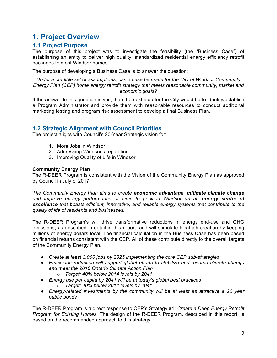# **1. Project Overview**

### **1.1 Project Purpose**

The purpose of this project was to investigate the feasibility (the "Business Case") of establishing an entity to deliver high quality, standardized residential energy efficiency retrofit packages to most Windsor homes.

The purpose of developing a Business Case is to answer the question:

*Under a credible set of assumptions, can a case be made for the City of Windsor Community Energy Plan (CEP) home energy retrofit strategy that meets reasonable community, market and economic goals?*

If the answer to this question is yes, then the next step for the City would be to identify/establish a Program Administrator and provide them with reasonable resources to conduct additional marketing testing and program risk assessment to develop a final Business Plan.

#### **1.2 Strategic Alignment with Council Priorities**

The project aligns with Council's 20-Year Strategic vision for:

- 1. More Jobs in Windsor
- 2. Addressing Windsor's reputation
- 3. Improving Quality of Life in Windsor

#### **Community Energy Plan**

The R-DEER Program is consistent with the Vision of the Community Energy Plan as approved by Council in July of 2017.

*The Community Energy Plan aims to create economic advantage, mitigate climate change and improve energy performance. It aims to position Windsor as an energy centre of excellence that boasts efficient, innovative, and reliable energy systems that contribute to the quality of life of residents and businesses.*

The R-DEER Program's will drive transformative reductions in energy end-use and GHG emissions, as described in detail in this report, and will stimulate local job creation by keeping millions of energy dollars local. The financial calculation in the Business Case has been based on financial returns consistent with the CEP. All of these contribute directly to the overall targets of the Community Energy Plan.

- *Create at least 3,000 jobs by 2025 implementing the core CEP sub-strategies*
- *Emissions reduction will support global efforts to stabilize and reverse climate change and meet the 2016 Ontario Climate Action Plan*
	- o *Target: 40% below 2014 levels by 2041*
- *Energy use per capita by 2041 will be at today's global best practices* o *Target: 40% below 2014 levels by 2041*
- *Energy-related investments by the community will be at least as attractive a 20 year public bonds*

The R-DEER Program is a direct response to CEP's Strategy #1: *Create a Deep Energy Retrofit Program for Existing Homes.* The design of the R-DEER Program, described in this report, is based on the recommended approach to this strategy.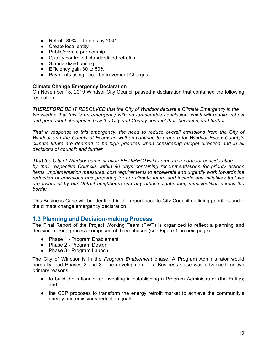- Retrofit 80% of homes by 2041
- Create local entity
- Public/private partnership
- Quality controlled standardized retrofits
- Standardized pricing
- Efficiency gain 30 to 50%
- Payments using Local Improvement Charges

#### **Climate Change Emergency Declaration**

On November 18, 2019 Windsor City Council passed a declaration that contained the following resolution:

*THEREFORE BE IT RESOLVED that the City of Windsor declare a Climate Emergency in the knowledge that this is an emergency with no foreseeable conclusion which will require robust and permanent changes in how the City and County conduct their business; and further,*

*That in response to this emergency, the need to reduce overall emissions from the City of Windsor and the County of Essex as well as continue to prepare for Windsor-Essex County's climate future are deemed to be high priorities when considering budget direction and in all decisions of council; and further,*

*That the City of Windsor administration BE DIRECTED to prepare reports for consideration by their respective Councils within 90 days containing recommendations for priority actions items, implementation measures, cost requirements to accelerate and urgently work towards the reduction of emissions and preparing for our climate future and include any initiatives that we are aware of by our Detroit neighbours and any other neighbouring municipalities across the border*

This Business Case will be identified in the report back to City Council outlining priorities under the climate change emergency declaration.

#### **1.3 Planning and Decision-making Process**

The Final Report of the Project Working Team (PWT) is organized to reflect a planning and decision-making process comprised of three phases (see Figure 1 on next page):

- Phase 1 Program Enablement
- Phase 2 Program Design
- Phase 3 Program Launch

The City of Windsor is in the *Program Enablement* phase. A Program Administrator would normally lead Phases 2 and 3. The development of a Business Case was advanced for two primary reasons:

- to build the rationale for investing in establishing a Program Administrator (the Entity); and
- the CEP proposes to transform the energy retrofit market to achieve the community's energy and emissions reduction goals.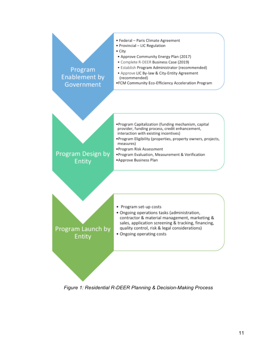

*Figure 1: Residential R-DEER Planning & Decision-Making Process*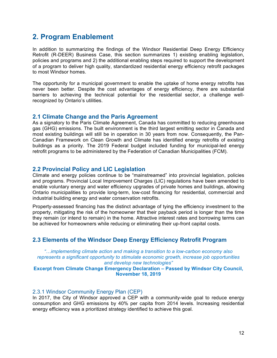# **2. Program Enablement**

In addition to summarizing the findings of the Windsor Residential Deep Energy Efficiency Retrofit (R-DEER) Business Case, this section summarizes 1) existing enabling legislation, policies and programs and 2) the additional enabling steps required to support the development of a program to deliver high quality, standardized residential energy efficiency retrofit packages to most Windsor homes.

The opportunity for a municipal government to enable the uptake of home energy retrofits has never been better. Despite the cost advantages of energy efficiency, there are substantial barriers to achieving the technical potential for the residential sector, a challenge wellrecognized by Ontario's utilities.

#### **2.1 Climate Change and the Paris Agreement**

As a signatory to the Paris Climate Agreement, Canada has committed to reducing greenhouse gas (GHG) emissions. The built environment is the third largest emitting sector in Canada and most existing buildings will still be in operation in 30 years from now. Consequently, the Pan-Canadian Framework on Clean Growth and Climate has identified energy retrofits of existing buildings as a priority. The 2019 Federal budget included funding for municipal-led energy retrofit programs to be administered by the Federation of Canadian Municipalities (FCM).

#### **2.2 Provincial Policy and LIC Legislation**

Climate and energy policies continue to be "mainstreamed" into provincial legislation, policies and programs. Provincial Local Improvement Charges (LIC) regulations have been amended to enable voluntary energy and water efficiency upgrades of private homes and buildings, allowing Ontario municipalities to provide long-term, low-cost financing for residential, commercial and industrial building energy and water conservation retrofits.

Property-assessed financing has the distinct advantage of tying the efficiency investment to the property, mitigating the risk of the homeowner that their payback period is longer than the time they remain (or intend to remain) in the home. Attractive interest rates and borrowing terms can be achieved for homeowners while reducing or eliminating their up-front capital costs.

#### **2.3 Elements of the Windsor Deep Energy Efficiency Retrofit Program**

*"…implementing climate action and making a transition to a low-carbon economy also represents a significant opportunity to stimulate economic growth, increase job opportunities and develop new technologies"*

#### **Excerpt from Climate Change Emergency Declaration – Passed by Windsor City Council, November 18, 2019**

#### 2.3.1 Windsor Community Energy Plan (CEP)

In 2017, the City of Windsor approved a CEP with a community-wide goal to reduce energy consumption and GHG emissions by 40% per capita from 2014 levels. Increasing residential energy efficiency was a prioritized strategy identified to achieve this goal.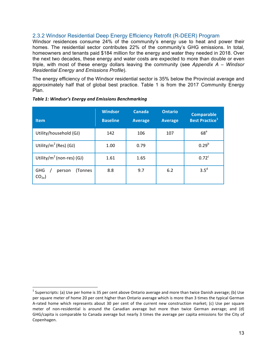#### 2.3.2 Windsor Residential Deep Energy Efficiency Retrofit (R-DEER) Program

Windsor residences consume 24% of the community's energy use to heat and power their homes. The residential sector contributes 22% of the community's GHG emissions. In total, homeowners and tenants paid \$184 million for the energy and water they needed in 2018. Over the next two decades, these energy and water costs are expected to more than double or even triple, with most of these energy dollars leaving the community (see *Appendix A – Windsor Residential Energy and Emissions Profile*). 

The energy efficiency of the Windsor residential sector is 35% below the Provincial average and approximately half that of global best practice. Table 1 is from the 2017 Community Energy Plan.

| <b>Item</b>                                  | <b>Windsor</b><br><b>Baseline</b> | Canada<br><b>Average</b> | <b>Ontario</b><br><b>Average</b> | <b>Comparable</b><br><b>Best Practice</b> <sup>1</sup> |
|----------------------------------------------|-----------------------------------|--------------------------|----------------------------------|--------------------------------------------------------|
| Utility/household (GJ)                       | 142                               | 106                      | 107                              | 68 <sup>a</sup>                                        |
| Utility/ $m^2$ (Res) (GJ)                    | 1.00                              | 0.79                     |                                  | $0.29^{b}$                                             |
| Utility/ $m^2$ (non-res) (GJ)                | 1.61                              | 1.65                     |                                  | 0.72 <sup>c</sup>                                      |
| GHG<br>(Tonnes<br>person<br>CO <sub>2e</sub> | 8.8                               | 9.7                      | 6.2                              | $3.5^d$                                                |

#### Table 1: Windsor's Energy and Emissions Benchmarking

 

<sup>&</sup>lt;sup>1</sup> Superscripts: (a) Use per home is 35 per cent above Ontario average and more than twice Danish average; (b) Use per square meter of home 20 per cent higher than Ontario average which is more than 3 times the typical German A-rated home which represents about 30 per cent of the current new construction market; (c) Use per square meter of non-residential is around the Canadian average but more than twice German average; and (d) GHG/capita is comparable to Canada average but nearly 3 times the average per capita emissions for the City of Copenhagen.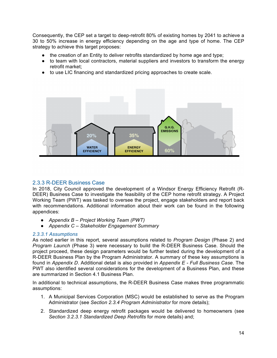Consequently, the CEP set a target to deep-retrofit 80% of existing homes by 2041 to achieve a 30 to 50% increase in energy efficiency depending on the age and type of home. The CEP strategy to achieve this target proposes:

- the creation of an Entity to deliver retrofits standardized by home age and type;
- to team with local contractors, material suppliers and investors to transform the energy retrofit market;
- to use LIC financing and standardized pricing approaches to create scale.



#### 2.3.3 R-DEER Business Case

In 2018, City Council approved the development of a Windsor Energy Efficiency Retrofit (R-DEER) Business Case to investigate the feasibility of the CEP home retrofit strategy. A Project Working Team (PWT) was tasked to oversee the project, engage stakeholders and report back with recommendations. Additional information about their work can be found in the following appendices:

- *Appendix B – Project Working Team (PWT)*
- *Appendix C – Stakeholder Engagement Summary*

#### *2.3.3.1 Assumptions*

As noted earlier in this report, several assumptions related to *Program Design* (Phase 2) and *Program Launch* (Phase 3) were necessary to build the R-DEER Business Case. Should the project proceed, these design parameters would be further tested during the development of a R-DEER Business Plan by the Program Administrator. A summary of these key assumptions is found in *Appendix D*. Additional detail is also provided in *Appendix E - Full Business Case*. The PWT also identified several considerations for the development of a Business Plan, and these are summarized in Section 4.1 Business Plan.

In additional to technical assumptions, the R-DEER Business Case makes three programmatic assumptions:

- 1. A Municipal Services Corporation (MSC) would be established to serve as the Program Administrator (see *Section 2.3.4 Program Administrator* for more details);
- 2. Standardized deep energy retrofit packages would be delivered to homeowners (see *Section 3.2.3.1 Standardized Deep Retrofits* for more details) and;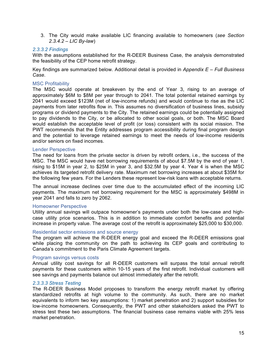3. The City would make available LIC financing available to homeowners (*see Section 2.3.4.2 – LIC By-law*)

#### *2.3.3.2 Findings*

With the assumptions established for the R-DEER Business Case, the analysis demonstrated the feasibility of the CEP home retrofit strategy.

Key findings are summarized below. Additional detail is provided in *Appendix E – Full Business Case*.

#### MSC Profitability

The MSC would operate at breakeven by the end of Year 3, rising to an average of approximately \$6M to \$8M per year through to 2041. The total potential retained earnings by 2041 would exceed \$123M (net of low-income refunds) and would continue to rise as the LIC payments from later retrofits flow in. This assumes no diversification of business lines, subsidy programs or dividend payments to the City. The retained earnings could be potentially assigned to pay dividends to the City, or be allocated to other social goals, or both. The MSC Board would establish the acceptable level of profit (or loss) consistent with its social mission. The PWT recommends that the Entity addresses program accessibility during final program design and the potential to leverage retained earnings to meet the needs of low-income residents and/or seniors on fixed incomes.

#### Lender Perspective

The need for loans from the private sector is driven by retrofit orders, i.e., the success of the MSC. The MSC would have net borrowing requirements of about \$7.5M by the end of year 1, rising to \$15M in year 2, to \$25M in year 3, and \$32.5M by year 4. Year 4 is when the MSC achieves its targeted retrofit delivery rate. Maximum net borrowing increases at about \$35M for the following few years. For the Lenders these represent low-risk loans with acceptable returns.

The annual increase declines over time due to the accumulated effect of the incoming LIC payments. The maximum net borrowing requirement for the MSC is approximately \$498M in year 2041 and falls to zero by 2062.

#### Homeowner Perspective

Utility annual savings will outpace homeowner's payments under both the low-case and highcase utility price scenarios. This is in addition to immediate comfort benefits and potential increase in property value. The average cost of the retrofit is approximately \$25,000 to \$30,000.

#### Residential sector emissions and source energy

The program will achieve the R-DEER energy goal and exceed the R-DEER emissions goal while placing the community on the path to achieving its CEP goals and contributing to Canada's commitment to the Paris Climate Agreement targets.

#### Program savings versus costs

Annual utility cost savings for all R-DEER customers will surpass the total annual retrofit payments for these customers within 10-15 years of the first retrofit. Individual customers will see savings and payments balance out almost immediately after the retrofit.

#### *2.3.3.3 Stress Testing*

The R-DEER Business Model proposes to transform the energy retrofit market by offering standardized retrofits at high volume to the community. As such, there are no market equivalents to inform two key assumptions: 1) market penetration and 2) support subsidies for low-income homeowners. Consequently, the PWT and other stakeholders asked the PWT to stress test these two assumptions. The financial business case remains viable with 25% less market penetration.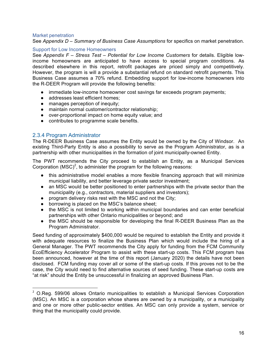#### Market penetration

See *Appendix D – Summary of Business Case Assumptions* for specifics on market penetration.

#### Support for Low Income Homeowners

See *Appendix F – Stress Test – Potential for Low Income Customers* for details. Eligible lowincome homeowners are anticipated to have access to special program conditions. As described elsewhere in this report, retrofit packages are priced simply and competitively. However, the program is will a provide a substantial refund on standard retrofit payments. This Business Case assumes a 70% refund. Embedding support for low-income homeowners into the R-DEER Program will provide the following benefits:

- immediate low-income homeowner cost savings far exceeds program payments;
- addresses least efficient homes;
- manages perception of inequity;
- maintain normal customer/contractor relationship;
- over-proportional impact on home equity value; and
- contributes to programme scale benefits.

#### 2.3.4 Program Administrator

<u> 1989 - Johann Stein, fransk politik (d. 1989)</u>

The R-DEER Business Case assumes the Entity would be owned by the City of Windsor. An existing Third-Party Entity is also a possibility to serve as the Program Administrator, as is a partnership with other municipalities in the formation of joint municipally-owned Entity.

The PWT recommends the City proceed to establish an Entity, as a Municipal Services Corporation (MSC)<sup>2</sup>, to administer the program for the following reasons:

- this administrative model enables a more flexible financing approach that will minimize municipal liability, and better leverage private sector investment;
- an MSC would be better positioned to enter partnerships with the private sector than the municipality (e.g., contractors, material suppliers and investors);
- program delivery risks rest with the MSC and not the City;
- borrowing is placed on the MSC's balance sheet;
- the MSC is not limited to working within municipal boundaries and can enter beneficial partnerships with other Ontario municipalities or beyond; and
- the MSC should be responsible for developing the final R-DEER Business Plan as the Program Administrator.

Seed funding of approximately \$400,000 would be required to establish the Entity and provide it with adequate resources to finalize the Business Plan which would include the hiring of a General Manager. The PWT recommends the City apply for funding from the FCM Community EcoEfficiency Accelerator Program to assist with these start-up costs. This FCM program has been announced, however at the time of this report (January 2020) the details have not been disclosed. FCM funding may cover all or some of the start-up costs. If this proves not to be the case, the City would need to find alternative sources of seed funding. These start-up costs are "at risk" should the Entity be unsuccessful in finalizing an approved Business Plan.

<sup>&</sup>lt;sup>2</sup> O.Reg. 599/06 allows Ontario municipalities to establish a Municipal Services Corporation (MSC). An MSC is a corporation whose shares are owned by a municipality, or a municipality and one or more other public-sector entities. An MSC can only provide a system, service or thing that the municipality could provide.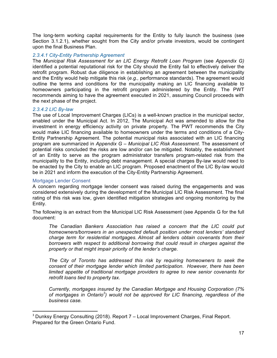The long-term working capital requirements for the Entity to fully launch the business (see Section 3.1.2.1), whether sought from the City and/or private investors, would be contingent upon the final Business Plan.

#### *2.3.4.1 City-Entity Partnership Agreement*

The *Municipal Risk Assessment for an LIC Energy Retrofit Loan Program* (see *Appendix G)* identified a potential reputational risk for the City should the Entity fail to effectively deliver the retrofit program. Robust due diligence in establishing an agreement between the municipality and the Entity would help mitigate this risk (*e.g.,* performance standards). The agreement would outline the terms and conditions for the municipality making an LIC financing available to homeowners participating in the retrofit program administered by the Entity. The PWT recommends aiming to have the agreement executed in 2021, assuming Council proceeds with the next phase of the project.

#### *2.3.4.2 LIC By-law*

The use of Local Improvement Charges (LICs) is a well-known practice in the municipal sector, enabled under the Municipal Act. In 2012, The Municipal Act was amended to allow for the investment in energy efficiency activity on private property. The PWT recommends the City would make LIC financing available to homeowners under the terms and conditions of a City-Entity Partnership Agreement. The potential municipal risks associated with an LIC financing program are summarized in *Appendix G – Municipal LIC Risk Assessment*. The assessment of potential risks concluded the risks are low and/or can be mitigated. Notably, the establishment of an Entity to serve as the program administrator transfers program-related risk from the municipality to the Entity, including debt management. A special charges By-law would need to be enacted by the City to enable an LIC program. Proposed enactment of the LIC By-law would be in 2021 and inform the execution of the City-Entity Partnership Agreement.

#### Mortgage Lender Consent

<u> 1989 - Johann Stein, fransk politik (d. 1989)</u>

A concern regarding mortgage lender consent was raised during the engagements and was considered extensively during the development of the Municipal LIC Risk Assessment. The final rating of this risk was low, given identified mitigation strategies and ongoing monitoring by the Entity.

The following is an extract from the Municipal LIC Risk Assessment (see Appendix G for the full document:

*The Canadian Bankers Association has raised a concern that the LIC could put homeowners/borrowers in an unexpected default position under most lenders' standard charge term for residential mortgages. Almost all lenders obtain covenants from their borrowers with respect to additional borrowing that could result in charges against the property or that might impair priority of the lender's charge.* 

*The City of Toronto has addressed this risk by requiring homeowners to seek the consent of their mortgage lender which limited participation. However, there has been limited appetite of traditional mortgage providers to agree to new senior covenants for retrofit loans tied to property tax.*

*Currently, mortgages insured by the Canadian Mortgage and Housing Corporation (7% of mortgages in Ontario<sup>3</sup> ) would not be approved for LIC financing, regardless of the business case.*

 $3$  Dunksy Energy Consulting (2018). Report  $7$  – Local Improvement Charges, Final Report. Prepared for the Green Ontario Fund.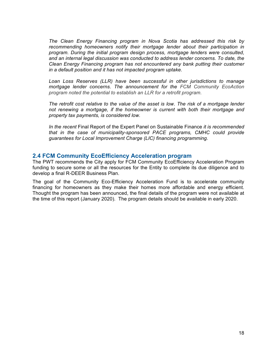*The Clean Energy Financing program in Nova Scotia has addressed this risk by recommending homeowners notify their mortgage lender about their participation in program. During the initial program design process, mortgage lenders were consulted, and an internal legal discussion was conducted to address lender concerns. To date, the Clean Energy Financing program has not encountered any bank putting their customer in a default position and it has not impacted program uptake.* 

*Loan Loss Reserves (LLR) have been successful in other jurisdictions to manage mortgage lender concerns. The announcement for the FCM Community EcoAction program noted the potential to establish an LLR for a retrofit program.*

*The retrofit cost relative to the value of the asset is low. The risk of a mortgage lender not renewing a mortgage, if the homeowner is current with both their mortgage and property tax payments, is considered low.*

*In the recent* Final Report of the Expert Panel on Sustainable Finance *it is recommended that in the case of municipality-sponsored PACE programs, CMHC could provide guarantees for Local Improvement Charge (LIC) financing programming.*

#### **2.4 FCM Community EcoEfficiency Acceleration program**

The PWT recommends the City apply for FCM Community EcoEfficiency Acceleration Program funding to secure some or all the resources for the Entity to complete its due diligence and to develop a final R-DEER Business Plan.

The goal of the Community Eco-Efficiency Acceleration Fund is to accelerate community financing for homeowners as they make their homes more affordable and energy efficient. Thought the program has been announced, the final details of the program were not available at the time of this report (January 2020). The program details should be available in early 2020.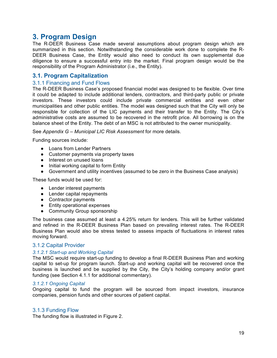# **3. Program Design**

The R-DEER Business Case made several assumptions about program design which are summarized in this section. Notwithstanding the considerable work done to complete the R-DEER Business Case, the Entity would also need to conduct its own supplemental due diligence to ensure a successful entry into the market. Final program design would be the responsibility of the Program Administrator (i.e., the Entity).

#### **3.1. Program Capitalization**

#### 3.1.1 Financing and Fund Flows

The R-DEER Business Case's proposed financial model was designed to be flexible. Over time it could be adapted to include additional lenders, contractors, and third-party public or private investors. These investors could include private commercial entities and even other municipalities and other public entities. The model was designed such that the City will only be responsible for collection of the LIC payments and their transfer to the Entity. The City's administrative costs are assumed to be recovered in the retrofit price. All borrowing is on the balance sheet of the Entity. The debt of an MSC is not attributed to the owner municipality.

See *Appendix G – Municipal LIC Risk Assessment* for more details.

Funding sources include:

- Loans from Lender Partners
- Customer payments via property taxes
- Interest on unused loans
- Initial working capital to form Entity
- Government and utility incentives (assumed to be zero in the Business Case analysis)

These funds would be used for:

- Lender interest payments
- Lender capital repayments
- Contractor payments
- Entity operational expenses
- Community Group sponsorship

The business case assumed at least a 4.25% return for lenders. This will be further validated and refined in the R-DEER Business Plan based on prevailing interest rates. The R-DEER Business Plan would also be stress tested to assess impacts of fluctuations in interest rates moving forward. 

#### 3.1.2 Capital Provider

#### *3.1.2.1 Start-up and Working Capital*

The MSC would require start-up funding to develop a final R-DEER Business Plan and working capital to set-up for program launch. Start-up and working capital will be recovered once the business is launched and be supplied by the City, the City's holding company and/or grant funding (see Section 4.1.1 for additional commentary).

#### *3.1.2.1 Ongoing Capital*

Ongoing capital to fund the program will be sourced from impact investors, insurance companies, pension funds and other sources of patient capital.

#### 3.1.3 Funding Flow

The funding flow is illustrated in Figure 2.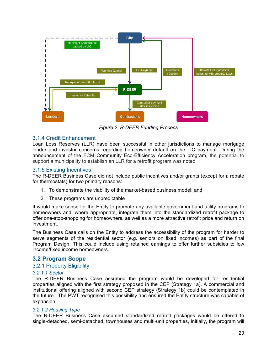

*Figure 2: R-DEER Funding Process*

#### 3.1.4 Credit Enhancement

Loan Loss Reserves (LLR) have been successful in other jurisdictions to manage mortgage lender and investor concerns regarding homeowner default on the LIC payment. During the announcement of the FCM Community Eco-Efficiency Acceleration program, the potential to support a municipality to establish an LLR for a retrofit program was noted.

#### 3.1.5 Existing Incentives

The R-DEER Business Case did not include public incentives and/or grants (except for a rebate for thermostats) for two primary reasons:

- 1. To demonstrate the viability of the market-based business model; and
- 2. These programs are unpredictable

It would make sense for the Entity to promote any available government and utility programs to homeowners and, where appropriate, integrate them into the standardized retrofit package to offer one-stop-shopping for homeowners, as well as a more attractive retrofit price and return on investment.

The Business Case calls on the Entity to address the accessibility of the program for harder to serve segments of the residential sector (e.g. seniors on fixed incomes) as part of the final Program Design. This could include using retained earnings to offer further subsidies to low income/fixed income homeowners.

#### **3.2 Program Scope**

#### 3.2.1 Property Eligibility

#### *3.2.1.1 Sector*

The R-DEER Business Case assumed the program would be developed for residential properties aligned with the first strategy proposed in the CEP (Strategy 1a). A commercial and institutional offering aligned with second CEP strategy (Strategy 1b) could be contemplated in the future. The PWT recognised this possibility and ensured the Entity structure was capable of expansion.

#### *3.2.1.2 Housing Type*

The R-DEER Business Case assumed standardized retrofit packages would be offered to single-detached, semi-detached, townhouses and multi-unit properties, Initially, the program will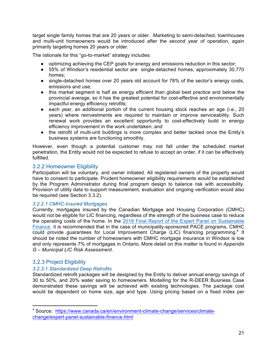target single family homes that are 20 years or older. Marketing to semi-detached, townhouses and multi-unit homeowners would be introduced after the second year of operation, again primarily targeting homes 20 years or older.

The rationale for this "go-to-market" strategy includes:

- optimizing achieving the CEP goals for energy and emissions reduction in this sector;
- 55% of Windsor's residential sector are single-detached homes, approximately 30,770 homes;
- single-detached homes over 20 years old account for 78% of the sector's energy costs, emissions and use;
- this market segment is half as energy efficient than global best practice and below the provincial average, so it has the greatest potential for cost-effective and environmentally impactful energy efficiency retrofits;
- each year, an additional portion of the current housing stock reaches an age (i.e., 20 years) where reinvestments are required to maintain or improve serviceability. Such renewal work provides an excellent opportunity to cost-effectively build in energy efficiency improvement in the work undertaken; and
- the retrofit of multi-unit buildings is more complex and better tackled once the Entity's business systems are functioning smoothly.

However, even though a potential customer may not fall under the scheduled market penetration, the Entity would not be expected to refuse to accept an order, if it can be effectively fulfilled.

#### 3.2.2 Homeowner Eligibility

Participation will be voluntary, and owner initiated. All registered owners of the property would have to consent to participate. Prudent homeowner eligibility requirements would be established by the Program Administrator during final program design to balance risk with accessibility. Provision of utility data to support measurement, evaluation and ongoing verification would also be required (see Section 3.3.2).

#### *3.2.2.1 CMHC-Insured Mortgages*

Currently, mortgages insured by the Canadian Mortgage and Housing Corporation (CMHC) would not be eligible for LIC financing, regardless of the strength of the business case to reduce the operating costs of the home. In the 2019 Final Report of the Expert Panel on Sustainable Finance it is recommended that in the case of municipality-sponsored PACE programs, CMHC could provide guarantees for Local Improvement Charge (LIC) financing programming.<sup>4</sup> It should be noted the number of homeowners with CMHC mortgage insurance in Windsor is low and only represents 7% of mortgages in Ontario. More detail on this matter is found in *Appendix G – Municipal LIC Risk Assessment*.

#### 3.2.3 Project Eligibility

<u> 1989 - Johann Stein, fransk politik (d. 1989)</u>

#### *3.2.3.1 Standardized Deep Retrofits*

Standardized retrofit packages will be designed by the Entity to deliver annual energy savings of 30 to 50%, and 20% water saving to homeowners. Modelling for the R-DEER Business Case demonstrated these savings will be achieved with existing technologies. The package cost would be dependent on home size, age and type. Using pricing based on a fixed index per

<sup>4</sup> Source: https://www.canada.ca/en/environment-climate-change/services/climatechange/expert-panel-sustainable-finance.html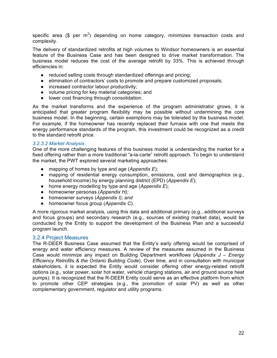specific area (\$ per  $m^2$ ) depending on home category, minimizes transaction costs and complexity.

The delivery of standardized retrofits at high volumes to Windsor homeowners is an essential feature of the Business Case and has been designed to drive market transformation. The business model reduces the cost of the average retrofit by 33%. This is achieved through efficiencies in:

- reduced selling costs through standardized offerings and pricing;
- elimination of contractors' costs to promote and prepare customized proposals;
- increased contractor labour productivity;
- volume pricing for key material categories; and
- lower cost financing through consolidation.

As the market transforms and the experience of the program administrator grows, it is anticipated that greater program flexibility may be possible without undermining the core business model. In the beginning, certain exemptions may be tolerated by the business model. For example, if the homeowner has recently replaced their furnace with one that meets the energy performance standards of the program, this investment could be recognized as a credit to the standard retrofit price.

#### *3.2.3.2 Market Analysis*

One of the more challenging features of this business model is understanding the market for a fixed offering rather than a more traditional "a-la-carte" retrofit approach. To begin to understand the market, the PWT explored several marketing approaches:

- mapping of homes by type and age (*Appendix E*);
- mapping of residential energy consumption, emissions, cost and demographics (e.g., household income) by energy planning district (EPD) (*Appendix E*);
- home energy modelling by type and age (*Appendix E*);
- homeowner personas (*Appendix H);*
- homeowner surveys (*Appendix I); and*
- homeowner focus group (*Appendix C*).

A more rigorous market analysis, using this data and additional primary (e.g., additional surveys and focus groups) and secondary research (e.g., sources of existing market data), would be conducted by the Entity to support the development of the Business Plan and a successful program launch.

#### 3.2.4 Project Measures

The R-DEER Business Case assumed that the Entity's early offering would be comprised of energy and water efficiency measures. A review of the measures assumed in the Business Case would minimize any impact on Building Department workflows (*Appendix J – Energy Efficiency Retrofits & the Ontario Building Code*). Over time, and in consultation with municipal stakeholders, it is expected the Entity would consider offering other energy-related retrofit options (e.g., solar power, solar hot water, vehicle charging stations, air and ground source heat pumps). It is recognized that the R-DEER Entity could serve as an effective platform from which to promote other CEP strategies (e.g., the promotion of solar PV) as well as other complementary government, regulator and utility programs.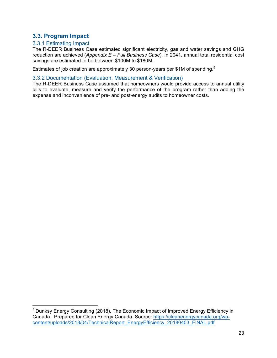#### **3.3. Program Impact**

#### 3.3.1 Estimating Impact

 

The R-DEER Business Case estimated significant electricity, gas and water savings and GHG reduction are achieved (*Appendix E – Full Business Case*). In 2041, annual total residential cost savings are estimated to be between \$100M to \$180M.

Estimates of job creation are approximately 30 person-years per \$1M of spending.<sup>5</sup>

#### 3.3.2 Documentation (Evaluation, Measurement & Verification)

The R-DEER Business Case assumed that homeowners would provide access to annual utility bills to evaluate, measure and verify the performance of the program rather than adding the expense and inconvenience of pre- and post-energy audits to homeowner costs.

<sup>&</sup>lt;sup>5</sup> Dunksy Energy Consulting (2018). The Economic Impact of Improved Energy Efficiency in Canada. Prepared for Clean Energy Canada. Source: https://cleanenergycanada.org/wpcontent/uploads/2018/04/TechnicalReport\_EnergyEfficiency\_20180403\_FINAL.pdf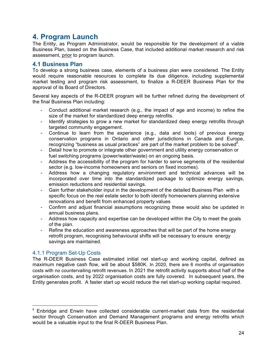# **4. Program Launch**

The Entity, as Program Administrator, would be responsible for the development of a viable Business Plan, based on the Business Case, that included additional market research and risk assessment, prior to program launch.

#### **4.1 Business Plan**

To develop a strong business case, elements of a business plan were considered. The Entity would require reasonable resources to complete its due diligence, including supplemental market testing and program risk assessment, to finalize a R-DEER Business Plan for the approval of its Board of Directors.

Several key aspects of the R-DEER program will be further refined during the development of the final Business Plan including:

- Conduct additional market research (e.g., the impact of age and income) to refine the size of the market for standardized deep energy retrofits.
- Identify strategies to grow a new market for standardized deep energy retrofits through targeted community engagement.
- Continue to learn from the experience (e.g., data and tools) of previous energy conservation programs in Ontario and other jurisdictions in Canada and Europe, recognizing "business as usual practices" are part of the market problem to be solved  $6$ .
- Detail how to promote or integrate other government and utility energy conservation or fuel switching programs (power/water/waste) on an ongoing basis.
- Address the accessibility of the program for harder to serve segments of the residential sector (e.g. low-income homeowners and seniors on fixed incomes).
- Address how a changing regulatory environment and technical advances will be incorporated over time into the standardized package to optimize energy savings, emission reductions and residential savings.
- Gain further stakeholder input in the development of the detailed Business Plan with a specific focus on the real estate sector to both identify homeowners planning extensive renovations and benefit from enhanced property values
- Confirm and adjust financial assumptions recognizing these would also be updated in annual business plans.
- Address how capacity and expertise can be developed within the City to meet the goals of the plan.
- Refine the education and awareness approaches that will be part of the home energy retrofit program, recognising behavioural shifts will be necessary to ensure energy savings are maintained.

#### 4.1.1 Program Set-Up Costs

 

The R-DEER Business Case estimated initial net start-up and working capital, defined as maximum negative cash flow, will be about \$580K. In 2020, there are 6 months of organisation costs with no countervailing retrofit revenues. In 2021 the retrofit activity supports about half of the organisation costs, and by 2022 organisation costs are fully covered. In subsequent years, the Entity generates profit. A faster start up would reduce the net start-up working capital required.

<sup>&</sup>lt;sup>6</sup> Enbridge and Enwin have collected considerable current-market data from the residential sector through Conservation and Demand Management programs and energy retrofits which would be a valuable input to the final R-DEER Business Plan.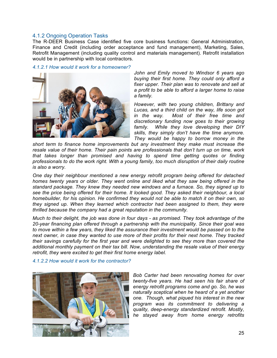#### 4.1.2 Ongoing Operation Tasks

The R-DEER Business Case identified five core business functions: General Administration, Finance and Credit (including order acceptance and fund management), Marketing, Sales, Retrofit Management (including quality control and materials management). Retrofit installation would be in partnership with local contractors.

#### *4.1.2.1 How would it work for a homeowner?*



*John and Emily moved to Windsor 6 years ago buying their first home. They could only afford a fixer upper. Their plan was to renovate and sell at a profit to be able to afford a larger home to raise a family.*

*However, with two young children, Brittany and Lucas, and a third child on the way, life soon got in the way. Most of their free time and discretionary funding now goes to their growing family. While they love developing their DIY skills, they simply don't have the time anymore. They would be happy to borrow money in the* 

*short term to finance home improvements but any investment they make must increase the resale value of their home. Their pain points are professionals that don't turn up on time, work that takes longer than promised and having to spend time getting quotes or finding professionals to do the work right. With a young family, too much disruption of their daily routine is also a worry.*

*One day their neighbour mentioned a new energy retrofit program being offered for detached homes twenty years or older. They went online and liked what they saw being offered in the standard package. They knew they needed new windows and a furnace. So, they signed up to see the price being offered for their home. It looked good. They asked their neighbour, a local homebuilder, for his opinion. He confirmed they would not be able to match it on their own, so they signed up. When they learned which contractor had been assigned to them, they were thrilled because the company had a great reputation in the community.* 

*Much to their delight, the job was done in four days - as promised. They took advantage of the 20-year financing plan offered through a partnership with the municipality. Since their goal was to move within a few years, they liked the assurance their investment would be passed on to the next owner, in case they wanted to use more of their profits for their next home. They tracked their savings carefully for the first year and were delighted to see they more than covered the additional monthly payment on their tax bill. Now, understanding the resale value of their energy retrofit, they were excited to get their first home energy label.*

#### *4.1.2.2 How would it work for the contractor?*



*Bob Carter had been renovating homes for over twenty-five years. He had seen his fair share of energy retrofit programs come and go. So, he was naturally sceptical when he heard of a yet another one. Though, what piqued his interest in the new program was its commitment to delivering a quality, deep-energy standardized retrofit. Mostly, he stayed away from home energy retrofits*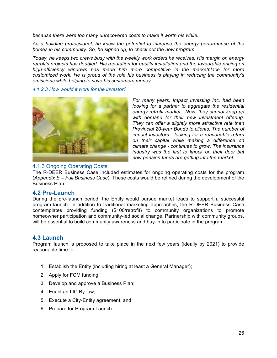*because there were too many unrecovered costs to make it worth his while.* 

*As a building professional, he knew the potential to increase the energy performance of the homes in his community. So, he signed up, to check out the new program.*

*Today, he keeps two crews busy with the weekly work orders he receives. His margin on energy retrofits projects has doubled. His reputation for quality installation and the favourable pricing on high-efficiency windows has made him more competitive in the marketplace for more customized work. He is proud of the role his business is playing in reducing the community's emissions while helping to save his customers money.*

*4.1.2.3 How would it work for the investor?*



*For many years, Impact Investing Inc. had been looking for a partner to aggregate the residential energy retrofit market. Now, they cannot keep up with demand for their new investment offering. They can offer a slightly more attractive rate than Provincial 20-year Bonds to clients. The number of impact investors - looking for a reasonable return on their capital while making a difference on climate change - continues to grow. The insurance industry was the first to knock on their door but now pension funds are getting into the market.* 

#### 4.1.3 Ongoing Operating Costs

The R-DEER Business Case included estimates for ongoing operating costs for the program (*Appendix E – Full Business Case*). These costs would be refined during the development of the Business Plan.

#### **4.2 Pre-Launch**

During the pre-launch period, the Entity would pursue market leads to support a successful program launch. In addition to traditional marketing approaches, the R-DEER Business Case contemplates providing funding (\$100/retrofit) to community organizations to promote homeowner participation and community-led social change. Partnership with community groups, will be essential to build community awareness and buy-in to participate in the program.

#### **4.3 Launch**

Program launch is proposed to take place in the next few years (ideally by 2021) to provide reasonable time to:

- 1. Establish the Entity (including hiring at least a General Manager);
- 2. Apply for FCM funding;
- 3. Develop and approve a Business Plan;
- 4. Enact an LIC By-law;
- 5. Execute a City-Entity agreement; and
- 6. Prepare for Program Launch.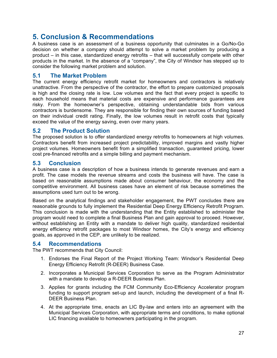# **5. Conclusion & Recommendations**

A business case is an assessment of a business opportunity that culminates in a Go/No-Go decision on whether a company should attempt to solve a market problem by producing a product – in this case, standardized energy retrofits – that will successfully compete with other products in the market. In the absence of a "company", the City of Windsor has stepped up to consider the following market problem and solution.

#### **5.1 The Market Problem**

The current energy efficiency retrofit market for homeowners and contractors is relatively unattractive. From the perspective of the contractor, the effort to prepare customized proposals is high and the closing rate is low. Low volumes and the fact that every project is specific to each household means that material costs are expensive and performance guarantees are risky. From the homeowner's perspective, obtaining understandable bids from various contractors is burdensome. They are responsible for finding their own sources of funding based on their individual credit rating. Finally, the low volumes result in retrofit costs that typically exceed the value of the energy saving, even over many years.

#### **5.2 The Product Solution**

The proposed solution is to offer standardized energy retrofits to homeowners at high volumes. Contractors benefit from increased project predictability, improved margins and vastly higher project volumes. Homeowners benefit from a simplified transaction, guaranteed pricing, lower cost pre-financed retrofits and a simple billing and payment mechanism.

#### **5.3 Conclusion**

A business case is a description of how a business intends to generate revenues and earn a profit. The case models the revenue streams and costs the business will have. The case is based on reasonable assumptions made about consumer behaviour, the economy and the competitive environment. All business cases have an element of risk because sometimes the assumptions used turn out to be wrong.

Based on the analytical findings and stakeholder engagement, the PWT concludes there are reasonable grounds to fully implement the Residential Deep Energy Efficiency Retrofit Program. This conclusion is made with the understanding that the Entity established to administer the program would need to complete a final Business Plan and gain approval to proceed. However, without establishing an Entity with a mandate to deliver high quality, standardized residential energy efficiency retrofit packages to most Windsor homes, the City's energy and efficiency goals, as approved in the CEP, are unlikely to be realized.

#### **5.4 Recommendations**

The PWT recommends that City Council:

- 1. Endorses the Final Report of the Project Working Team: Windsor's Residential Deep Energy Efficiency Retrofit (R-DEER) Business Case.
- 2. Incorporates a Municipal Services Corporation to serve as the Program Administrator with a mandate to develop a R-DEER Business Plan.
- 3. Applies for grants including the FCM Community Eco-Efficiency Accelerator program funding to support program set-up and launch, including the development of a final R-DEER Business Plan.
- 4. At the appropriate time, enacts an LIC By-law and enters into an agreement with the Municipal Services Corporation, with appropriate terms and conditions, to make optional LIC financing available to homeowners participating in the program.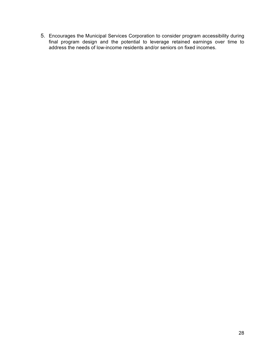5. Encourages the Municipal Services Corporation to consider program accessibility during final program design and the potential to leverage retained earnings over time to address the needs of low-income residents and/or seniors on fixed incomes.